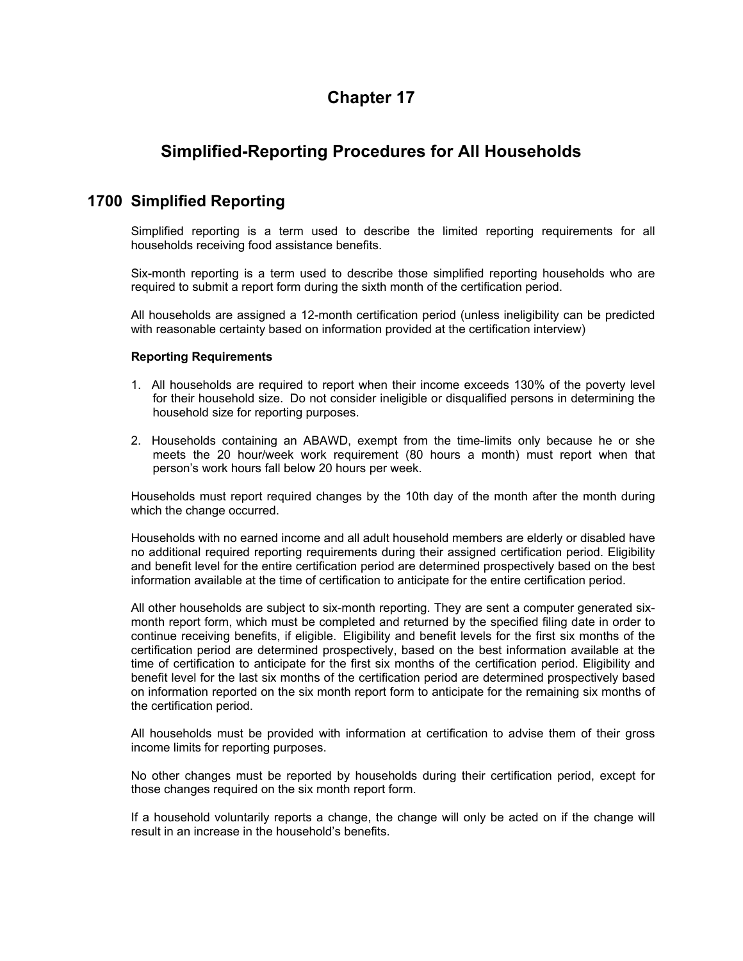# **Chapter 17**

# **Simplified-Reporting Procedures for All Households**

### **1700 Simplified Reporting**

Simplified reporting is a term used to describe the limited reporting requirements for all households receiving food assistance benefits.

Six-month reporting is a term used to describe those simplified reporting households who are required to submit a report form during the sixth month of the certification period.

All households are assigned a 12-month certification period (unless ineligibility can be predicted with reasonable certainty based on information provided at the certification interview)

### **Reporting Requirements**

- 1. All households are required to report when their income exceeds 130% of the poverty level for their household size. Do not consider ineligible or disqualified persons in determining the household size for reporting purposes.
- 2. Households containing an ABAWD, exempt from the time-limits only because he or she meets the 20 hour/week work requirement (80 hours a month) must report when that person's work hours fall below 20 hours per week.

Households must report required changes by the 10th day of the month after the month during which the change occurred.

Households with no earned income and all adult household members are elderly or disabled have no additional required reporting requirements during their assigned certification period. Eligibility and benefit level for the entire certification period are determined prospectively based on the best information available at the time of certification to anticipate for the entire certification period.

All other households are subject to six-month reporting. They are sent a computer generated sixmonth report form, which must be completed and returned by the specified filing date in order to continue receiving benefits, if eligible. Eligibility and benefit levels for the first six months of the certification period are determined prospectively, based on the best information available at the time of certification to anticipate for the first six months of the certification period. Eligibility and benefit level for the last six months of the certification period are determined prospectively based on information reported on the six month report form to anticipate for the remaining six months of the certification period.

All households must be provided with information at certification to advise them of their gross income limits for reporting purposes.

No other changes must be reported by households during their certification period, except for those changes required on the six month report form.

If a household voluntarily reports a change, the change will only be acted on if the change will result in an increase in the household's benefits.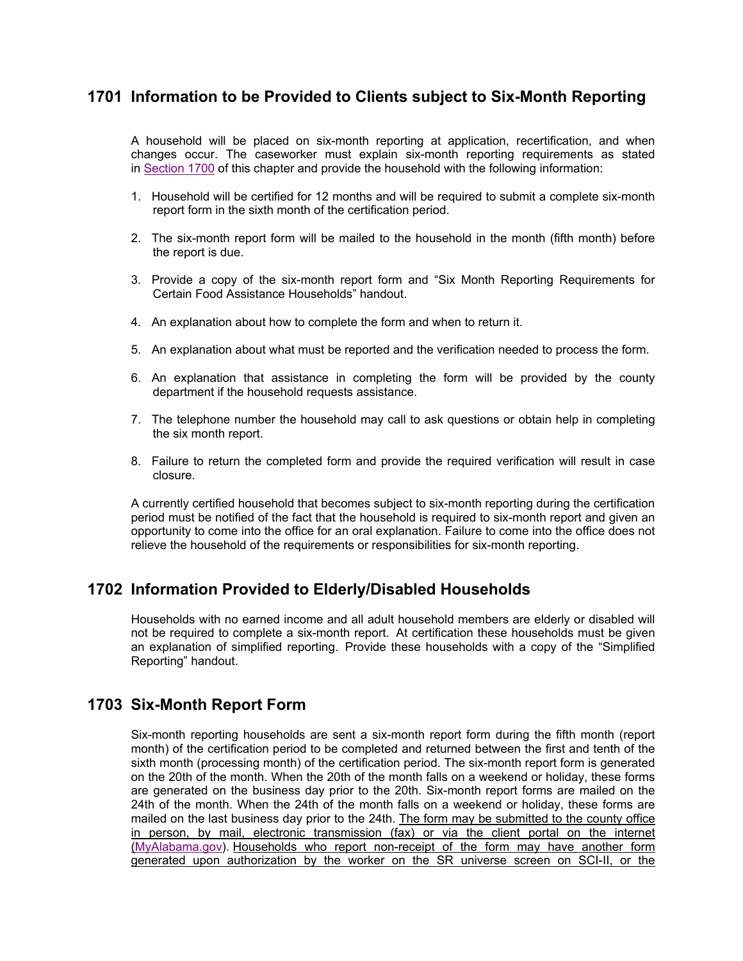## **1701 Information to be Provided to Clients subject to Six-Month Reporting**

A household will be placed on six-month reporting at application, recertification, and when changes occur. The caseworker must explain six-month reporting requirements as stated in Section 1700 of this chapter and provide the household with the following information:

- 1. Household will be certified for 12 months and will be required to submit a complete six-month report form in the sixth month of the certification period.
- 2. The six-month report form will be mailed to the household in the month (fifth month) before the report is due.
- 3. Provide a copy of the six-month report form and "Six Month Reporting Requirements for Certain Food Assistance Households" handout.
- 4. An explanation about how to complete the form and when to return it.
- 5. An explanation about what must be reported and the verification needed to process the form.
- 6. An explanation that assistance in completing the form will be provided by the county department if the household requests assistance.
- 7. The telephone number the household may call to ask questions or obtain help in completing the six month report.
- 8. Failure to return the completed form and provide the required verification will result in case closure.

A currently certified household that becomes subject to six-month reporting during the certification period must be notified of the fact that the household is required to six-month report and given an opportunity to come into the office for an oral explanation. Failure to come into the office does not relieve the household of the requirements or responsibilities for six-month reporting.

### **1702 Information Provided to Elderly/Disabled Households**

Households with no earned income and all adult household members are elderly or disabled will not be required to complete a six-month report. At certification these households must be given an explanation of simplified reporting. Provide these households with a copy of the "Simplified Reporting" handout.

### **1703 Six-Month Report Form**

Six-month reporting households are sent a six-month report form during the fifth month (report month) of the certification period to be completed and returned between the first and tenth of the sixth month (processing month) of the certification period. The six-month report form is generated on the 20th of the month. When the 20th of the month falls on a weekend or holiday, these forms are generated on the business day prior to the 20th. Six-month report forms are mailed on the 24th of the month. When the 24th of the month falls on a weekend or holiday, these forms are mailed on the last business day prior to the 24th. The form may be submitted to the county office in person, by mail, electronic transmission (fax) or via the client portal on the internet (MyAlabama.gov). Households who report non-receipt of the form may have another form generated upon authorization by the worker on the SR universe screen on SCI-II, or the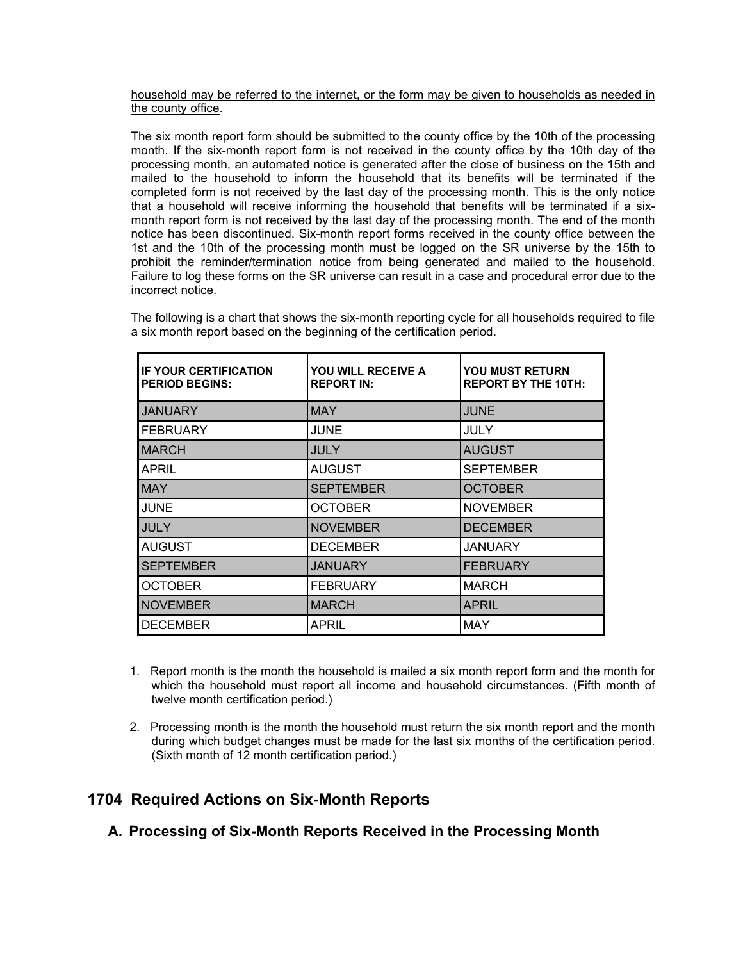### household may be referred to the internet, or the form may be given to households as needed in the county office.

The six month report form should be submitted to the county office by the 10th of the processing month. If the six-month report form is not received in the county office by the 10th day of the processing month, an automated notice is generated after the close of business on the 15th and mailed to the household to inform the household that its benefits will be terminated if the completed form is not received by the last day of the processing month. This is the only notice that a household will receive informing the household that benefits will be terminated if a sixmonth report form is not received by the last day of the processing month. The end of the month notice has been discontinued. Six-month report forms received in the county office between the 1st and the 10th of the processing month must be logged on the SR universe by the 15th to prohibit the reminder/termination notice from being generated and mailed to the household. Failure to log these forms on the SR universe can result in a case and procedural error due to the incorrect notice.

| <b>IF YOUR CERTIFICATION</b><br><b>PERIOD BEGINS:</b> | YOU WILL RECEIVE A<br><b>REPORT IN:</b> | <b>YOU MUST RETURN</b><br><b>REPORT BY THE 10TH:</b> |
|-------------------------------------------------------|-----------------------------------------|------------------------------------------------------|
| <b>JANUARY</b>                                        | <b>MAY</b>                              | <b>JUNE</b>                                          |
| <b>FEBRUARY</b>                                       | <b>JUNE</b>                             | <b>JULY</b>                                          |
| <b>MARCH</b>                                          | JULY                                    | <b>AUGUST</b>                                        |
| <b>APRIL</b>                                          | <b>AUGUST</b>                           | <b>SEPTEMBER</b>                                     |
| <b>MAY</b>                                            | <b>SEPTEMBER</b>                        | <b>OCTOBER</b>                                       |
| <b>JUNE</b>                                           | <b>OCTOBER</b>                          | <b>NOVEMBER</b>                                      |
| <b>JULY</b>                                           | <b>NOVEMBER</b>                         | <b>DECEMBER</b>                                      |
| <b>AUGUST</b>                                         | <b>DECEMBER</b>                         | JANUARY                                              |
| <b>SEPTEMBER</b>                                      | <b>JANUARY</b>                          | <b>FEBRUARY</b>                                      |
| <b>OCTOBER</b>                                        | <b>FEBRUARY</b>                         | <b>MARCH</b>                                         |
| <b>NOVEMBER</b>                                       | <b>MARCH</b>                            | <b>APRIL</b>                                         |
| <b>DECEMBER</b>                                       | <b>APRIL</b>                            | <b>MAY</b>                                           |

The following is a chart that shows the six-month reporting cycle for all households required to file a six month report based on the beginning of the certification period.

- 1. Report month is the month the household is mailed a six month report form and the month for which the household must report all income and household circumstances. (Fifth month of twelve month certification period.)
- 2. Processing month is the month the household must return the six month report and the month during which budget changes must be made for the last six months of the certification period. (Sixth month of 12 month certification period.)

# **1704 Required Actions on Six-Month Reports**

**A. Processing of Six-Month Reports Received in the Processing Month**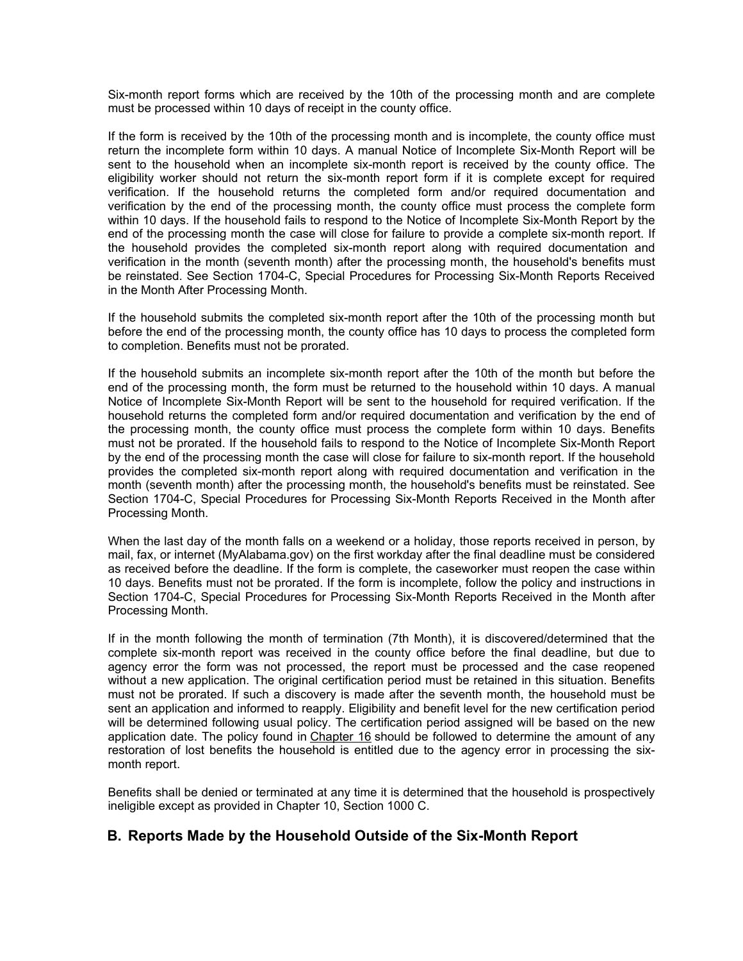Six-month report forms which are received by the 10th of the processing month and are complete must be processed within 10 days of receipt in the county office.

If the form is received by the 10th of the processing month and is incomplete, the county office must return the incomplete form within 10 days. A manual Notice of Incomplete Six-Month Report will be sent to the household when an incomplete six-month report is received by the county office. The eligibility worker should not return the six-month report form if it is complete except for required verification. If the household returns the completed form and/or required documentation and verification by the end of the processing month, the county office must process the complete form within 10 days. If the household fails to respond to the Notice of Incomplete Six-Month Report by the end of the processing month the case will close for failure to provide a complete six-month report. If the household provides the completed six-month report along with required documentation and verification in the month (seventh month) after the processing month, the household's benefits must be reinstated. See Section 1704-C, Special Procedures for Processing Six-Month Reports Received in the Month After Processing Month.

If the household submits the completed six-month report after the 10th of the processing month but before the end of the processing month, the county office has 10 days to process the completed form to completion. Benefits must not be prorated.

If the household submits an incomplete six-month report after the 10th of the month but before the end of the processing month, the form must be returned to the household within 10 days. A manual Notice of Incomplete Six-Month Report will be sent to the household for required verification. If the household returns the completed form and/or required documentation and verification by the end of the processing month, the county office must process the complete form within 10 days. Benefits must not be prorated. If the household fails to respond to the Notice of Incomplete Six-Month Report by the end of the processing month the case will close for failure to six-month report. If the household provides the completed six-month report along with required documentation and verification in the month (seventh month) after the processing month, the household's benefits must be reinstated. See Section 1704-C, Special Procedures for Processing Six-Month Reports Received in the Month after Processing Month.

When the last day of the month falls on a weekend or a holiday, those reports received in person, by mail, fax, or internet (MyAlabama.gov) on the first workday after the final deadline must be considered as received before the deadline. If the form is complete, the caseworker must reopen the case within 10 days. Benefits must not be prorated. If the form is incomplete, follow the policy and instructions in Section 1704-C, Special Procedures for Processing Six-Month Reports Received in the Month after Processing Month.

If in the month following the month of termination (7th Month), it is discovered/determined that the complete six-month report was received in the county office before the final deadline, but due to agency error the form was not processed, the report must be processed and the case reopened without a new application. The original certification period must be retained in this situation. Benefits must not be prorated. If such a discovery is made after the seventh month, the household must be sent an application and informed to reapply. Eligibility and benefit level for the new certification period will be determined following usual policy. The certification period assigned will be based on the new application date. The policy found in Chapter 16 should be followed to determine the amount of any restoration of lost benefits the household is entitled due to the agency error in processing the sixmonth report.

Benefits shall be denied or terminated at any time it is determined that the household is prospectively ineligible except as provided in Chapter 10, Section 1000 C.

### **B. Reports Made by the Household Outside of the Six-Month Report**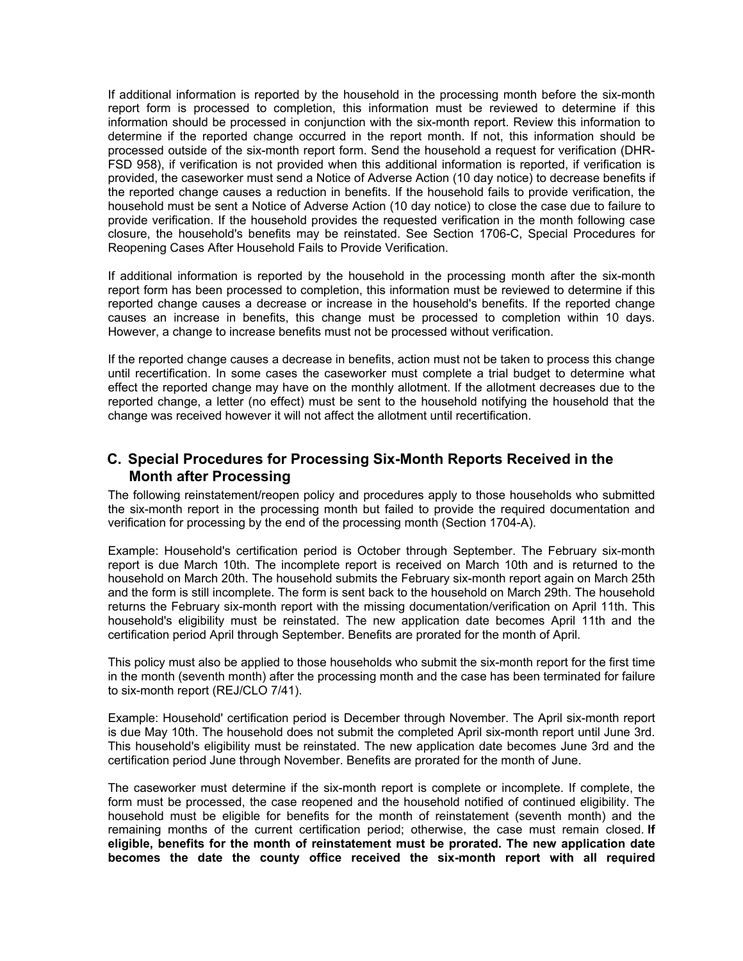If additional information is reported by the household in the processing month before the six-month report form is processed to completion, this information must be reviewed to determine if this information should be processed in conjunction with the six-month report. Review this information to determine if the reported change occurred in the report month. If not, this information should be processed outside of the six-month report form. Send the household a request for verification (DHR-FSD 958), if verification is not provided when this additional information is reported, if verification is provided, the caseworker must send a Notice of Adverse Action (10 day notice) to decrease benefits if the reported change causes a reduction in benefits. If the household fails to provide verification, the household must be sent a Notice of Adverse Action (10 day notice) to close the case due to failure to provide verification. If the household provides the requested verification in the month following case closure, the household's benefits may be reinstated. See Section 1706-C, Special Procedures for Reopening Cases After Household Fails to Provide Verification.

If additional information is reported by the household in the processing month after the six-month report form has been processed to completion, this information must be reviewed to determine if this reported change causes a decrease or increase in the household's benefits. If the reported change causes an increase in benefits, this change must be processed to completion within 10 days. However, a change to increase benefits must not be processed without verification.

If the reported change causes a decrease in benefits, action must not be taken to process this change until recertification. In some cases the caseworker must complete a trial budget to determine what effect the reported change may have on the monthly allotment. If the allotment decreases due to the reported change, a letter (no effect) must be sent to the household notifying the household that the change was received however it will not affect the allotment until recertification.

### **C. Special Procedures for Processing Six-Month Reports Received in the Month after Processing**

The following reinstatement/reopen policy and procedures apply to those households who submitted the six-month report in the processing month but failed to provide the required documentation and verification for processing by the end of the processing month (Section 1704-A).

Example: Household's certification period is October through September. The February six-month report is due March 10th. The incomplete report is received on March 10th and is returned to the household on March 20th. The household submits the February six-month report again on March 25th and the form is still incomplete. The form is sent back to the household on March 29th. The household returns the February six-month report with the missing documentation/verification on April 11th. This household's eligibility must be reinstated. The new application date becomes April 11th and the certification period April through September. Benefits are prorated for the month of April.

This policy must also be applied to those households who submit the six-month report for the first time in the month (seventh month) after the processing month and the case has been terminated for failure to six-month report (REJ/CLO 7/41).

Example: Household' certification period is December through November. The April six-month report is due May 10th. The household does not submit the completed April six-month report until June 3rd. This household's eligibility must be reinstated. The new application date becomes June 3rd and the certification period June through November. Benefits are prorated for the month of June.

The caseworker must determine if the six-month report is complete or incomplete. If complete, the form must be processed, the case reopened and the household notified of continued eligibility. The household must be eligible for benefits for the month of reinstatement (seventh month) and the remaining months of the current certification period; otherwise, the case must remain closed. **If eligible, benefits for the month of reinstatement must be prorated. The new application date becomes the date the county office received the six-month report with all required**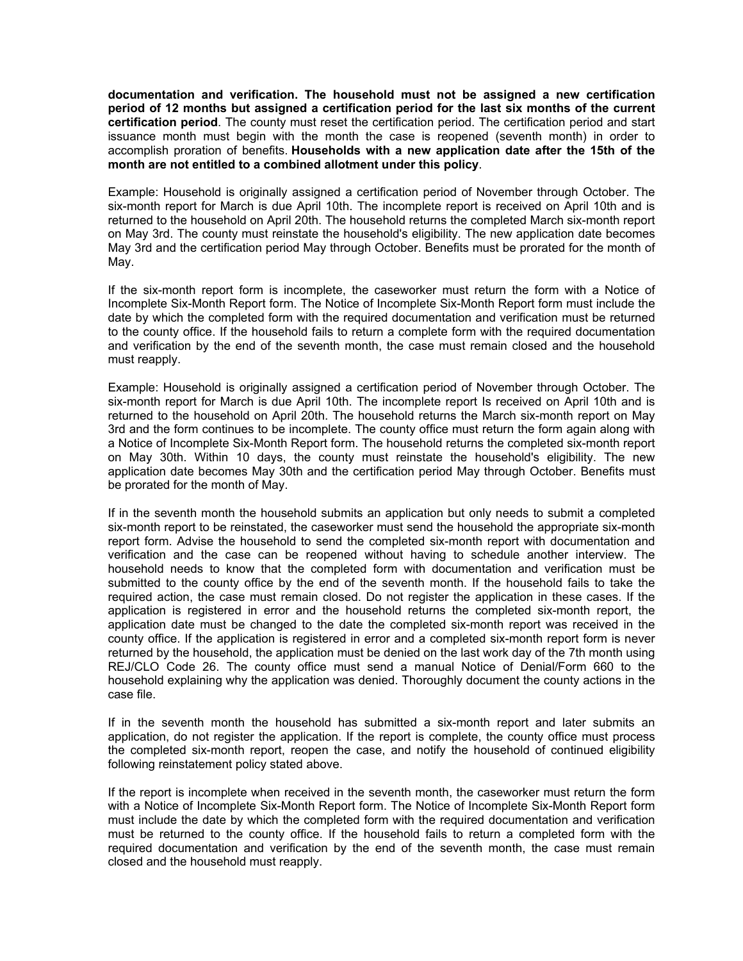**documentation and verification. The household must not be assigned a new certification period of 12 months but assigned a certification period for the last six months of the current certification period**. The county must reset the certification period. The certification period and start issuance month must begin with the month the case is reopened (seventh month) in order to accomplish proration of benefits. **Households with a new application date after the 15th of the month are not entitled to a combined allotment under this policy**.

Example: Household is originally assigned a certification period of November through October. The six-month report for March is due April 10th. The incomplete report is received on April 10th and is returned to the household on April 20th. The household returns the completed March six-month report on May 3rd. The county must reinstate the household's eligibility. The new application date becomes May 3rd and the certification period May through October. Benefits must be prorated for the month of May.

If the six-month report form is incomplete, the caseworker must return the form with a Notice of Incomplete Six-Month Report form. The Notice of Incomplete Six-Month Report form must include the date by which the completed form with the required documentation and verification must be returned to the county office. If the household fails to return a complete form with the required documentation and verification by the end of the seventh month, the case must remain closed and the household must reapply.

Example: Household is originally assigned a certification period of November through October. The six-month report for March is due April 10th. The incomplete report Is received on April 10th and is returned to the household on April 20th. The household returns the March six-month report on May 3rd and the form continues to be incomplete. The county office must return the form again along with a Notice of Incomplete Six-Month Report form. The household returns the completed six-month report on May 30th. Within 10 days, the county must reinstate the household's eligibility. The new application date becomes May 30th and the certification period May through October. Benefits must be prorated for the month of May.

If in the seventh month the household submits an application but only needs to submit a completed six-month report to be reinstated, the caseworker must send the household the appropriate six-month report form. Advise the household to send the completed six-month report with documentation and verification and the case can be reopened without having to schedule another interview. The household needs to know that the completed form with documentation and verification must be submitted to the county office by the end of the seventh month. If the household fails to take the required action, the case must remain closed. Do not register the application in these cases. If the application is registered in error and the household returns the completed six-month report, the application date must be changed to the date the completed six-month report was received in the county office. If the application is registered in error and a completed six-month report form is never returned by the household, the application must be denied on the last work day of the 7th month using REJ/CLO Code 26. The county office must send a manual Notice of Denial/Form 660 to the household explaining why the application was denied. Thoroughly document the county actions in the case file.

If in the seventh month the household has submitted a six-month report and later submits an application, do not register the application. If the report is complete, the county office must process the completed six-month report, reopen the case, and notify the household of continued eligibility following reinstatement policy stated above.

If the report is incomplete when received in the seventh month, the caseworker must return the form with a Notice of Incomplete Six-Month Report form. The Notice of Incomplete Six-Month Report form must include the date by which the completed form with the required documentation and verification must be returned to the county office. If the household fails to return a completed form with the required documentation and verification by the end of the seventh month, the case must remain closed and the household must reapply.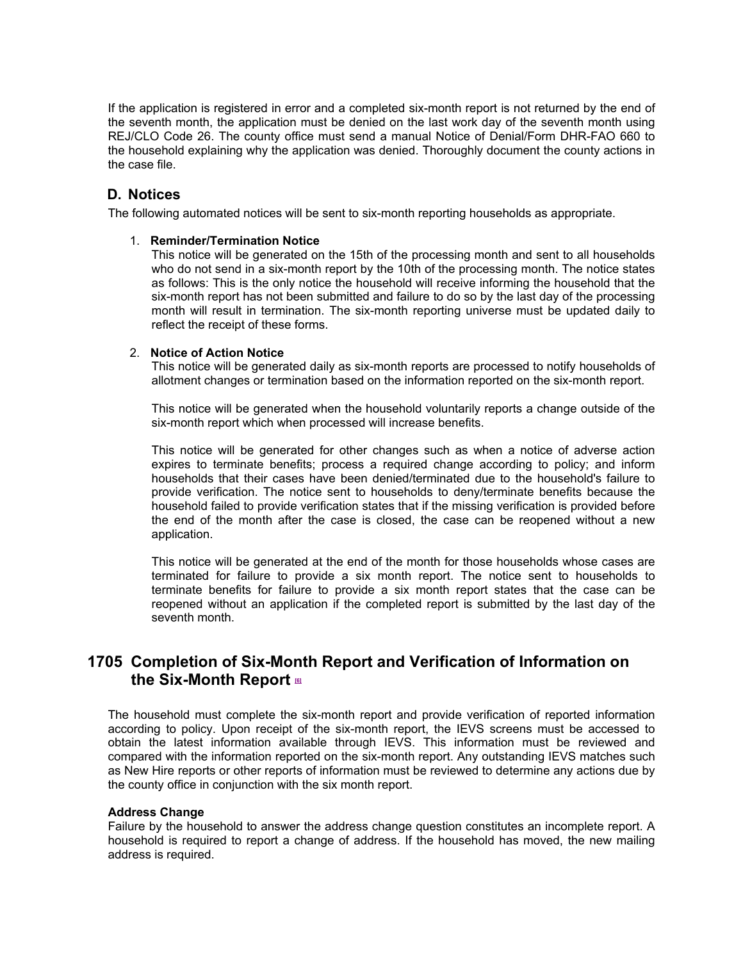If the application is registered in error and a completed six-month report is not returned by the end of the seventh month, the application must be denied on the last work day of the seventh month using REJ/CLO Code 26. The county office must send a manual Notice of Denial/Form DHR-FAO 660 to the household explaining why the application was denied. Thoroughly document the county actions in the case file.

### **D. Notices**

The following automated notices will be sent to six-month reporting households as appropriate.

### 1. **Reminder/Termination Notice**

This notice will be generated on the 15th of the processing month and sent to all households who do not send in a six-month report by the 10th of the processing month. The notice states as follows: This is the only notice the household will receive informing the household that the six-month report has not been submitted and failure to do so by the last day of the processing month will result in termination. The six-month reporting universe must be updated daily to reflect the receipt of these forms.

### 2. **Notice of Action Notice**

This notice will be generated daily as six-month reports are processed to notify households of allotment changes or termination based on the information reported on the six-month report.

This notice will be generated when the household voluntarily reports a change outside of the six-month report which when processed will increase benefits.

This notice will be generated for other changes such as when a notice of adverse action expires to terminate benefits; process a required change according to policy; and inform households that their cases have been denied/terminated due to the household's failure to provide verification. The notice sent to households to deny/terminate benefits because the household failed to provide verification states that if the missing verification is provided before the end of the month after the case is closed, the case can be reopened without a new application.

This notice will be generated at the end of the month for those households whose cases are terminated for failure to provide a six month report. The notice sent to households to terminate benefits for failure to provide a six month report states that the case can be reopened without an application if the completed report is submitted by the last day of the seventh month.

# **1705 Completion of Six-Month Report and Verification of Information on the Six-Month Report [6]**

The household must complete the six-month report and provide verification of reported information according to policy. Upon receipt of the six-month report, the IEVS screens must be accessed to obtain the latest information available through IEVS. This information must be reviewed and compared with the information reported on the six-month report. Any outstanding IEVS matches such as New Hire reports or other reports of information must be reviewed to determine any actions due by the county office in conjunction with the six month report.

### **Address Change**

Failure by the household to answer the address change question constitutes an incomplete report. A household is required to report a change of address. If the household has moved, the new mailing address is required.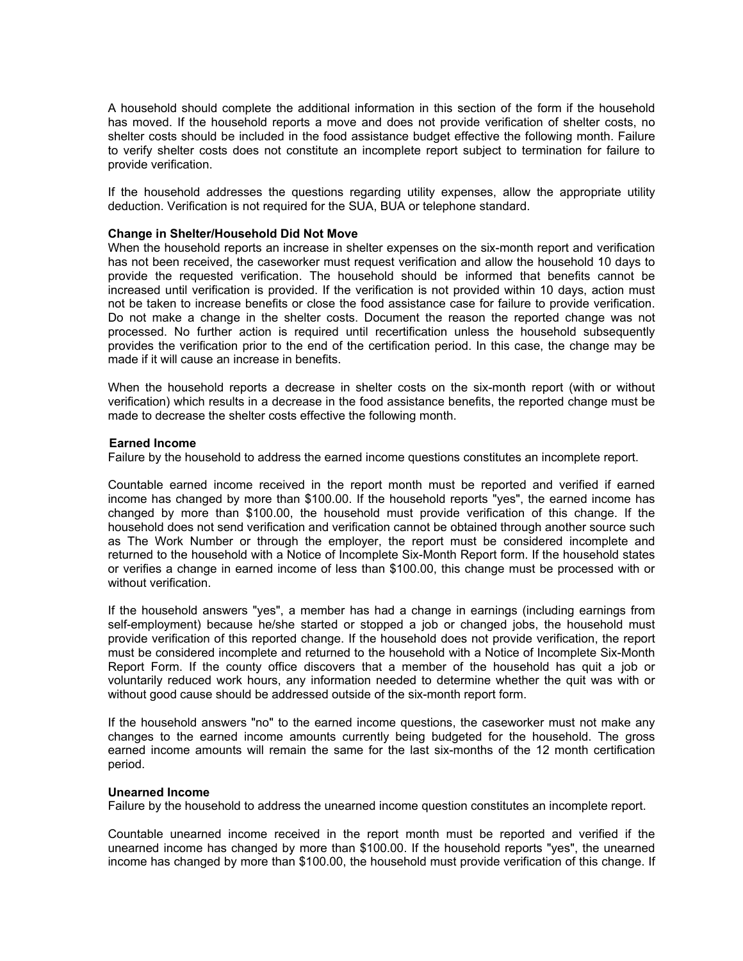A household should complete the additional information in this section of the form if the household has moved. If the household reports a move and does not provide verification of shelter costs, no shelter costs should be included in the food assistance budget effective the following month. Failure to verify shelter costs does not constitute an incomplete report subject to termination for failure to provide verification.

If the household addresses the questions regarding utility expenses, allow the appropriate utility deduction. Verification is not required for the SUA, BUA or telephone standard.

#### **Change in Shelter/Household Did Not Move**

When the household reports an increase in shelter expenses on the six-month report and verification has not been received, the caseworker must request verification and allow the household 10 days to provide the requested verification. The household should be informed that benefits cannot be increased until verification is provided. If the verification is not provided within 10 days, action must not be taken to increase benefits or close the food assistance case for failure to provide verification. Do not make a change in the shelter costs. Document the reason the reported change was not processed. No further action is required until recertification unless the household subsequently provides the verification prior to the end of the certification period. In this case, the change may be made if it will cause an increase in benefits.

When the household reports a decrease in shelter costs on the six-month report (with or without verification) which results in a decrease in the food assistance benefits, the reported change must be made to decrease the shelter costs effective the following month.

#### **Earned Income**

Failure by the household to address the earned income questions constitutes an incomplete report.

Countable earned income received in the report month must be reported and verified if earned income has changed by more than \$100.00. If the household reports "yes", the earned income has changed by more than \$100.00, the household must provide verification of this change. If the household does not send verification and verification cannot be obtained through another source such as The Work Number or through the employer, the report must be considered incomplete and returned to the household with a Notice of Incomplete Six-Month Report form. If the household states or verifies a change in earned income of less than \$100.00, this change must be processed with or without verification.

If the household answers "yes", a member has had a change in earnings (including earnings from self-employment) because he/she started or stopped a job or changed jobs, the household must provide verification of this reported change. If the household does not provide verification, the report must be considered incomplete and returned to the household with a Notice of Incomplete Six-Month Report Form. If the county office discovers that a member of the household has quit a job or voluntarily reduced work hours, any information needed to determine whether the quit was with or without good cause should be addressed outside of the six-month report form.

If the household answers "no" to the earned income questions, the caseworker must not make any changes to the earned income amounts currently being budgeted for the household. The gross earned income amounts will remain the same for the last six-months of the 12 month certification period.

#### **Unearned Income**

Failure by the household to address the unearned income question constitutes an incomplete report.

Countable unearned income received in the report month must be reported and verified if the unearned income has changed by more than \$100.00. If the household reports "yes", the unearned income has changed by more than \$100.00, the household must provide verification of this change. If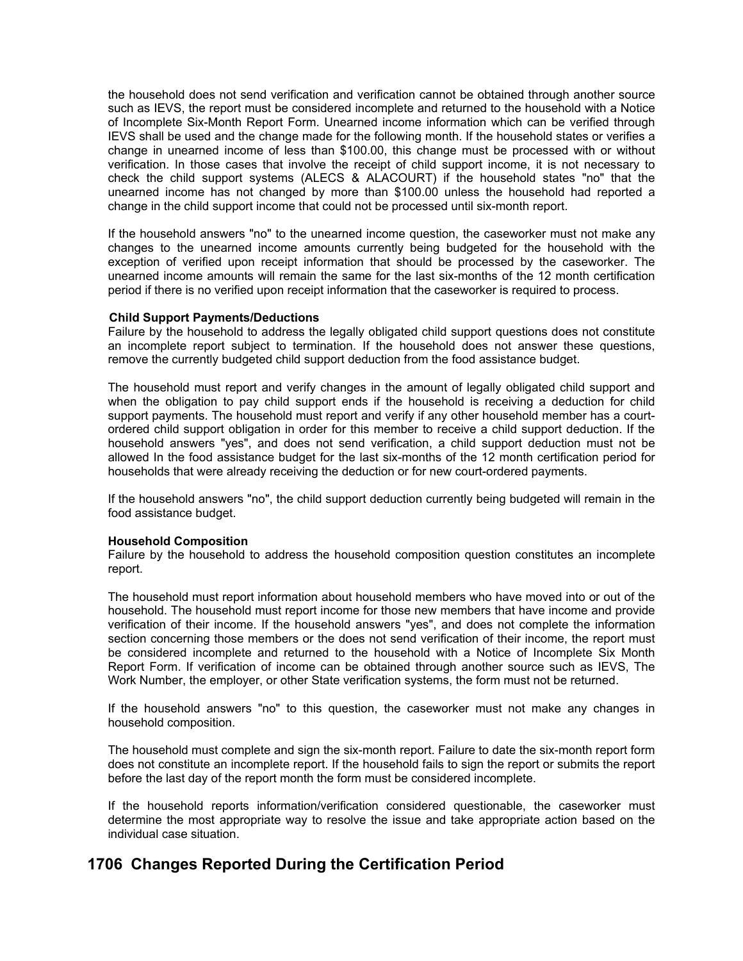the household does not send verification and verification cannot be obtained through another source such as IEVS, the report must be considered incomplete and returned to the household with a Notice of Incomplete Six-Month Report Form. Unearned income information which can be verified through IEVS shall be used and the change made for the following month. If the household states or verifies a change in unearned income of less than \$100.00, this change must be processed with or without verification. In those cases that involve the receipt of child support income, it is not necessary to check the child support systems (ALECS & ALACOURT) if the household states "no" that the unearned income has not changed by more than \$100.00 unless the household had reported a change in the child support income that could not be processed until six-month report.

If the household answers "no" to the unearned income question, the caseworker must not make any changes to the unearned income amounts currently being budgeted for the household with the exception of verified upon receipt information that should be processed by the caseworker. The unearned income amounts will remain the same for the last six-months of the 12 month certification period if there is no verified upon receipt information that the caseworker is required to process.

#### **Child Support Payments/Deductions**

Failure by the household to address the legally obligated child support questions does not constitute an incomplete report subject to termination. If the household does not answer these questions, remove the currently budgeted child support deduction from the food assistance budget.

The household must report and verify changes in the amount of legally obligated child support and when the obligation to pay child support ends if the household is receiving a deduction for child support payments. The household must report and verify if any other household member has a courtordered child support obligation in order for this member to receive a child support deduction. If the household answers "yes", and does not send verification, a child support deduction must not be allowed In the food assistance budget for the last six-months of the 12 month certification period for households that were already receiving the deduction or for new court-ordered payments.

If the household answers "no", the child support deduction currently being budgeted will remain in the food assistance budget.

#### **Household Composition**

Failure by the household to address the household composition question constitutes an incomplete report.

The household must report information about household members who have moved into or out of the household. The household must report income for those new members that have income and provide verification of their income. If the household answers "yes", and does not complete the information section concerning those members or the does not send verification of their income, the report must be considered incomplete and returned to the household with a Notice of Incomplete Six Month Report Form. If verification of income can be obtained through another source such as IEVS, The Work Number, the employer, or other State verification systems, the form must not be returned.

If the household answers "no" to this question, the caseworker must not make any changes in household composition.

The household must complete and sign the six-month report. Failure to date the six-month report form does not constitute an incomplete report. If the household fails to sign the report or submits the report before the last day of the report month the form must be considered incomplete.

If the household reports information/verification considered questionable, the caseworker must determine the most appropriate way to resolve the issue and take appropriate action based on the individual case situation.

### **1706 Changes Reported During the Certification Period**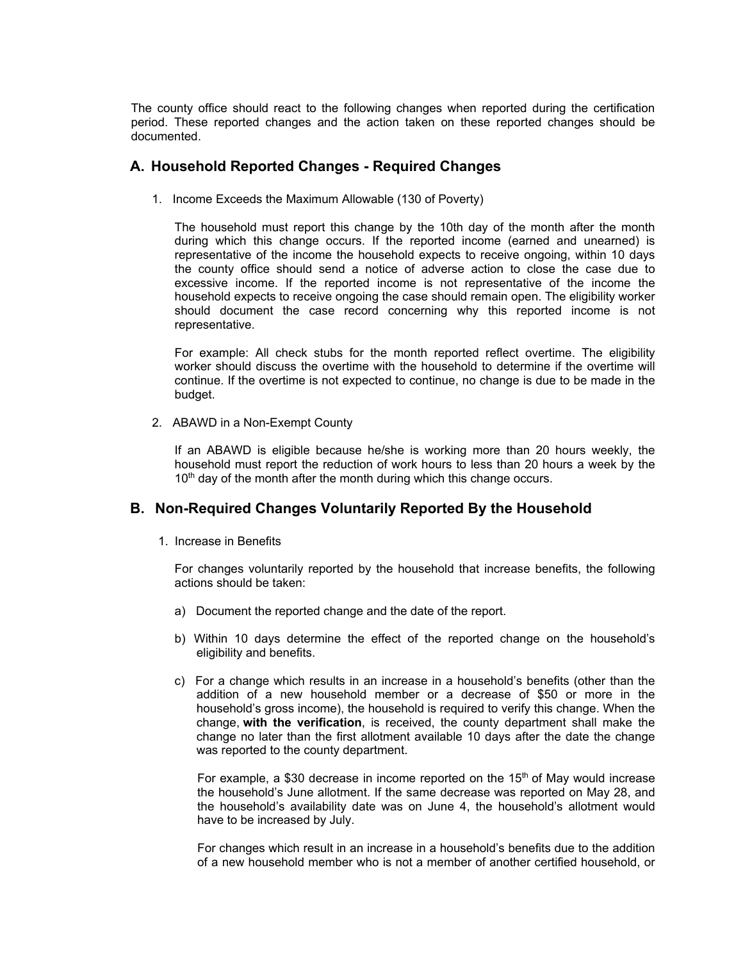The county office should react to the following changes when reported during the certification period. These reported changes and the action taken on these reported changes should be documented.

### **A. Household Reported Changes - Required Changes**

1. Income Exceeds the Maximum Allowable (130 of Poverty)

The household must report this change by the 10th day of the month after the month during which this change occurs. If the reported income (earned and unearned) is representative of the income the household expects to receive ongoing, within 10 days the county office should send a notice of adverse action to close the case due to excessive income. If the reported income is not representative of the income the household expects to receive ongoing the case should remain open. The eligibility worker should document the case record concerning why this reported income is not representative.

For example: All check stubs for the month reported reflect overtime. The eligibility worker should discuss the overtime with the household to determine if the overtime will continue. If the overtime is not expected to continue, no change is due to be made in the budget.

2. ABAWD in a Non-Exempt County

If an ABAWD is eligible because he/she is working more than 20 hours weekly, the household must report the reduction of work hours to less than 20 hours a week by the 10<sup>th</sup> day of the month after the month during which this change occurs.

### **B. Non-Required Changes Voluntarily Reported By the Household**

1. Increase in Benefits

For changes voluntarily reported by the household that increase benefits, the following actions should be taken:

- a) Document the reported change and the date of the report.
- b) Within 10 days determine the effect of the reported change on the household's eligibility and benefits.
- c) For a change which results in an increase in a household's benefits (other than the addition of a new household member or a decrease of \$50 or more in the household's gross income), the household is required to verify this change. When the change, **with the verification**, is received, the county department shall make the change no later than the first allotment available 10 days after the date the change was reported to the county department.

For example, a \$30 decrease in income reported on the  $15<sup>th</sup>$  of May would increase the household's June allotment. If the same decrease was reported on May 28, and the household's availability date was on June 4, the household's allotment would have to be increased by July.

For changes which result in an increase in a household's benefits due to the addition of a new household member who is not a member of another certified household, or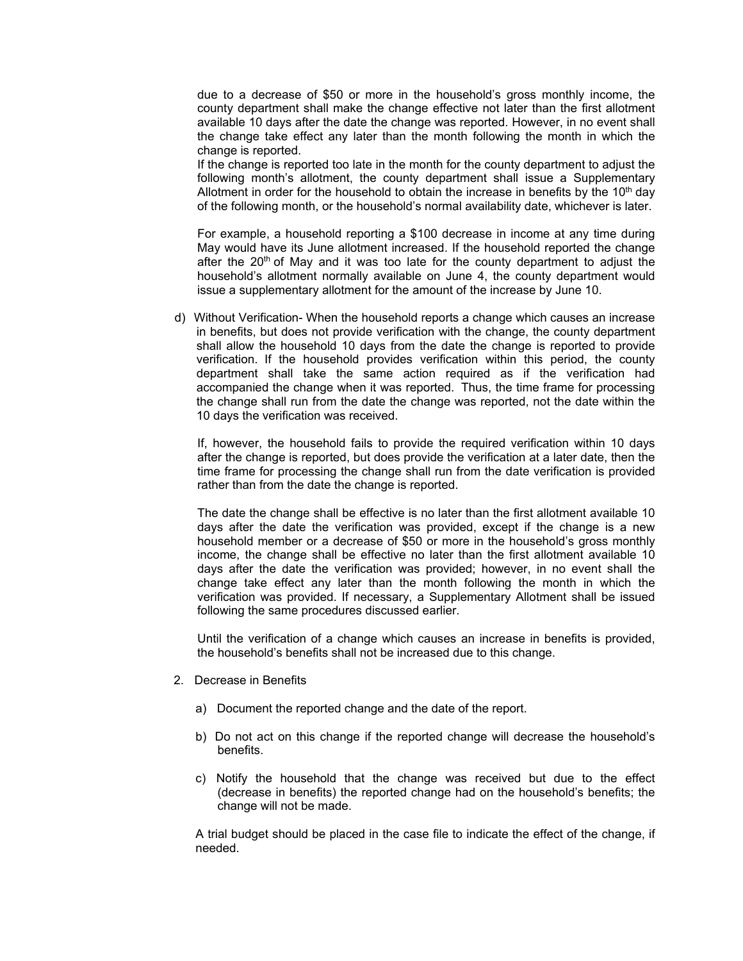due to a decrease of \$50 or more in the household's gross monthly income, the county department shall make the change effective not later than the first allotment available 10 days after the date the change was reported. However, in no event shall the change take effect any later than the month following the month in which the change is reported.

If the change is reported too late in the month for the county department to adjust the following month's allotment, the county department shall issue a Supplementary Allotment in order for the household to obtain the increase in benefits by the  $10<sup>th</sup>$  day of the following month, or the household's normal availability date, whichever is later.

For example, a household reporting a \$100 decrease in income at any time during May would have its June allotment increased. If the household reported the change after the  $20<sup>th</sup>$  of May and it was too late for the county department to adjust the household's allotment normally available on June 4, the county department would issue a supplementary allotment for the amount of the increase by June 10.

d) Without Verification- When the household reports a change which causes an increase in benefits, but does not provide verification with the change, the county department shall allow the household 10 days from the date the change is reported to provide verification. If the household provides verification within this period, the county department shall take the same action required as if the verification had accompanied the change when it was reported. Thus, the time frame for processing the change shall run from the date the change was reported, not the date within the 10 days the verification was received.

If, however, the household fails to provide the required verification within 10 days after the change is reported, but does provide the verification at a later date, then the time frame for processing the change shall run from the date verification is provided rather than from the date the change is reported.

The date the change shall be effective is no later than the first allotment available 10 days after the date the verification was provided, except if the change is a new household member or a decrease of \$50 or more in the household's gross monthly income, the change shall be effective no later than the first allotment available 10 days after the date the verification was provided; however, in no event shall the change take effect any later than the month following the month in which the verification was provided. If necessary, a Supplementary Allotment shall be issued following the same procedures discussed earlier.

Until the verification of a change which causes an increase in benefits is provided, the household's benefits shall not be increased due to this change.

- 2. Decrease in Benefits
	- a) Document the reported change and the date of the report.
	- b) Do not act on this change if the reported change will decrease the household's benefits.
	- c) Notify the household that the change was received but due to the effect (decrease in benefits) the reported change had on the household's benefits; the change will not be made.

A trial budget should be placed in the case file to indicate the effect of the change, if needed.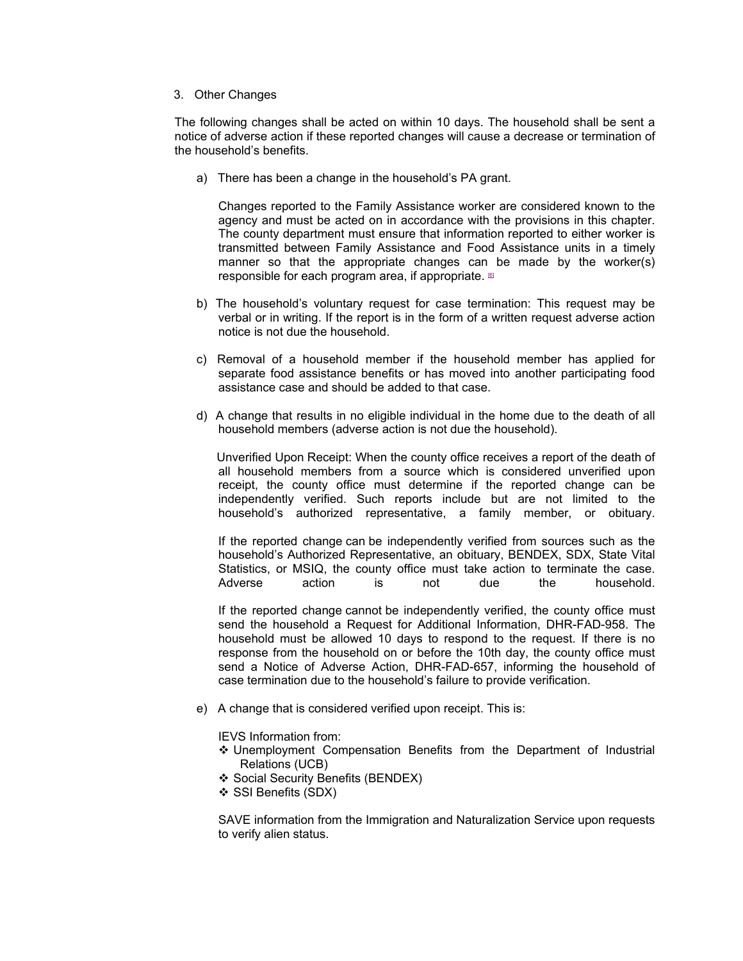3. Other Changes

The following changes shall be acted on within 10 days. The household shall be sent a notice of adverse action if these reported changes will cause a decrease or termination of the household's benefits.

a) There has been a change in the household's PA grant.

Changes reported to the Family Assistance worker are considered known to the agency and must be acted on in accordance with the provisions in this chapter. The county department must ensure that information reported to either worker is transmitted between Family Assistance and Food Assistance units in a timely manner so that the appropriate changes can be made by the worker(s) responsible for each program area, if appropriate.  $60$ 

- b) The household's voluntary request for case termination: This request may be verbal or in writing. If the report is in the form of a written request adverse action notice is not due the household.
- c) Removal of a household member if the household member has applied for separate food assistance benefits or has moved into another participating food assistance case and should be added to that case.
- d) A change that results in no eligible individual in the home due to the death of all household members (adverse action is not due the household).

 Unverified Upon Receipt: When the county office receives a report of the death of all household members from a source which is considered unverified upon receipt, the county office must determine if the reported change can be independently verified. Such reports include but are not limited to the household's authorized representative, a family member, or obituary.

If the reported change can be independently verified from sources such as the household's Authorized Representative, an obituary, BENDEX, SDX, State Vital Statistics, or MSIQ, the county office must take action to terminate the case. Adverse action is not due the household.

If the reported change cannot be independently verified, the county office must send the household a Request for Additional Information, DHR-FAD-958. The household must be allowed 10 days to respond to the request. If there is no response from the household on or before the 10th day, the county office must send a Notice of Adverse Action, DHR-FAD-657, informing the household of case termination due to the household's failure to provide verification.

e) A change that is considered verified upon receipt. This is:

IEVS Information from:

- $\div$  Unemployment Compensation Benefits from the Department of Industrial Relations (UCB)
- ❖ Social Security Benefits (BENDEX)
- ❖ SSI Benefits (SDX)

SAVE information from the Immigration and Naturalization Service upon requests to verify alien status.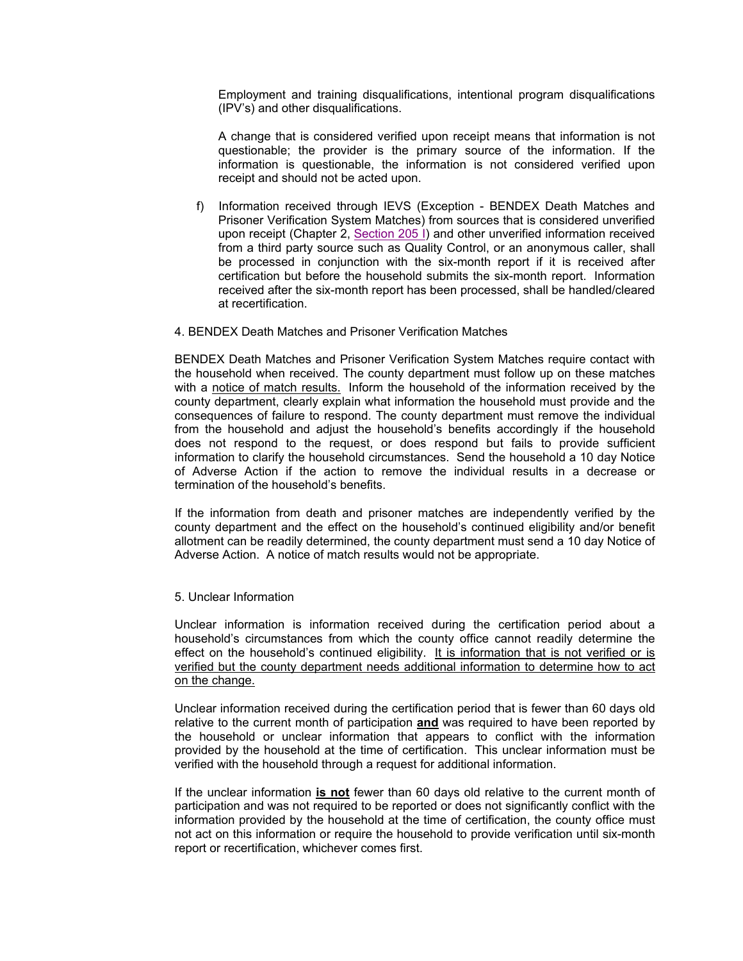Employment and training disqualifications, intentional program disqualifications (IPV's) and other disqualifications.

A change that is considered verified upon receipt means that information is not questionable; the provider is the primary source of the information. If the information is questionable, the information is not considered verified upon receipt and should not be acted upon.

- f) Information received through IEVS (Exception BENDEX Death Matches and Prisoner Verification System Matches) from sources that is considered unverified upon receipt (Chapter 2, Section 205 I) and other unverified information received from a third party source such as Quality Control, or an anonymous caller, shall be processed in conjunction with the six-month report if it is received after certification but before the household submits the six-month report. Information received after the six-month report has been processed, shall be handled/cleared at recertification.
- 4. BENDEX Death Matches and Prisoner Verification Matches

BENDEX Death Matches and Prisoner Verification System Matches require contact with the household when received. The county department must follow up on these matches with a notice of match results. Inform the household of the information received by the county department, clearly explain what information the household must provide and the consequences of failure to respond. The county department must remove the individual from the household and adjust the household's benefits accordingly if the household does not respond to the request, or does respond but fails to provide sufficient information to clarify the household circumstances. Send the household a 10 day Notice of Adverse Action if the action to remove the individual results in a decrease or termination of the household's benefits.

 If the information from death and prisoner matches are independently verified by the county department and the effect on the household's continued eligibility and/or benefit allotment can be readily determined, the county department must send a 10 day Notice of Adverse Action. A notice of match results would not be appropriate.

5. Unclear Information

Unclear information is information received during the certification period about a household's circumstances from which the county office cannot readily determine the effect on the household's continued eligibility. It is information that is not verified or is verified but the county department needs additional information to determine how to act on the change.

 Unclear information received during the certification period that is fewer than 60 days old relative to the current month of participation **and** was required to have been reported by the household or unclear information that appears to conflict with the information provided by the household at the time of certification. This unclear information must be verified with the household through a request for additional information.

 If the unclear information **is not** fewer than 60 days old relative to the current month of participation and was not required to be reported or does not significantly conflict with the information provided by the household at the time of certification, the county office must not act on this information or require the household to provide verification until six-month report or recertification, whichever comes first.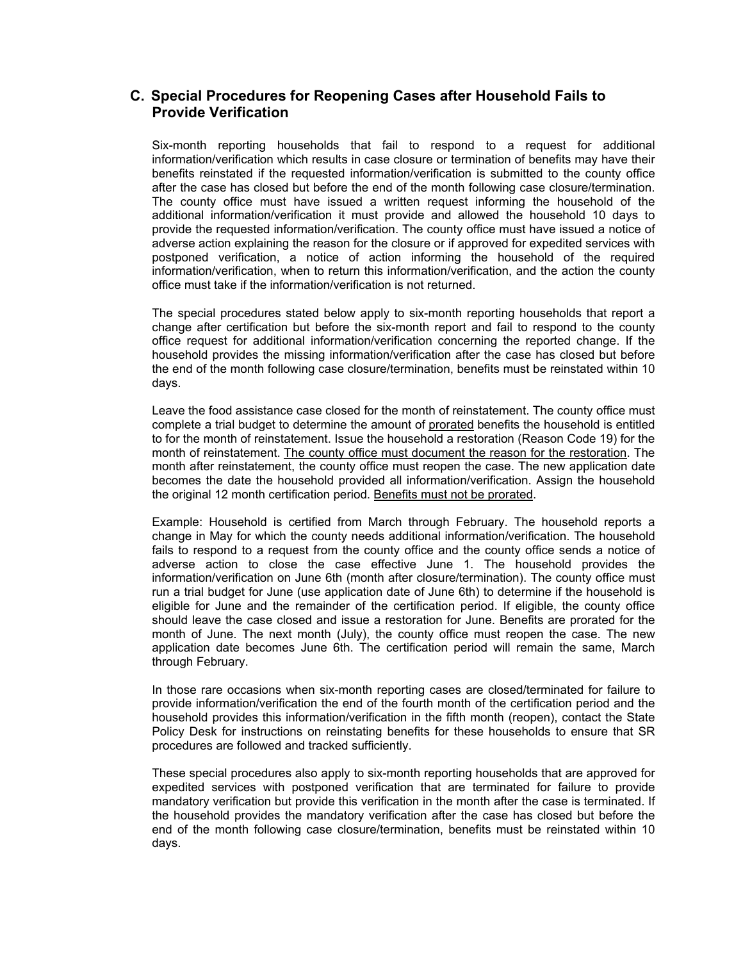### **C. Special Procedures for Reopening Cases after Household Fails to Provide Verification**

Six-month reporting households that fail to respond to a request for additional information/verification which results in case closure or termination of benefits may have their benefits reinstated if the requested information/verification is submitted to the county office after the case has closed but before the end of the month following case closure/termination. The county office must have issued a written request informing the household of the additional information/verification it must provide and allowed the household 10 days to provide the requested information/verification. The county office must have issued a notice of adverse action explaining the reason for the closure or if approved for expedited services with postponed verification, a notice of action informing the household of the required information/verification, when to return this information/verification, and the action the county office must take if the information/verification is not returned.

The special procedures stated below apply to six-month reporting households that report a change after certification but before the six-month report and fail to respond to the county office request for additional information/verification concerning the reported change. If the household provides the missing information/verification after the case has closed but before the end of the month following case closure/termination, benefits must be reinstated within 10 days.

Leave the food assistance case closed for the month of reinstatement. The county office must complete a trial budget to determine the amount of prorated benefits the household is entitled to for the month of reinstatement. Issue the household a restoration (Reason Code 19) for the month of reinstatement. The county office must document the reason for the restoration. The month after reinstatement, the county office must reopen the case. The new application date becomes the date the household provided all information/verification. Assign the household the original 12 month certification period. Benefits must not be prorated.

Example: Household is certified from March through February. The household reports a change in May for which the county needs additional information/verification. The household fails to respond to a request from the county office and the county office sends a notice of adverse action to close the case effective June 1. The household provides the information/verification on June 6th (month after closure/termination). The county office must run a trial budget for June (use application date of June 6th) to determine if the household is eligible for June and the remainder of the certification period. If eligible, the county office should leave the case closed and issue a restoration for June. Benefits are prorated for the month of June. The next month (July), the county office must reopen the case. The new application date becomes June 6th. The certification period will remain the same, March through February.

In those rare occasions when six-month reporting cases are closed/terminated for failure to provide information/verification the end of the fourth month of the certification period and the household provides this information/verification in the fifth month (reopen), contact the State Policy Desk for instructions on reinstating benefits for these households to ensure that SR procedures are followed and tracked sufficiently.

These special procedures also apply to six-month reporting households that are approved for expedited services with postponed verification that are terminated for failure to provide mandatory verification but provide this verification in the month after the case is terminated. If the household provides the mandatory verification after the case has closed but before the end of the month following case closure/termination, benefits must be reinstated within 10 days.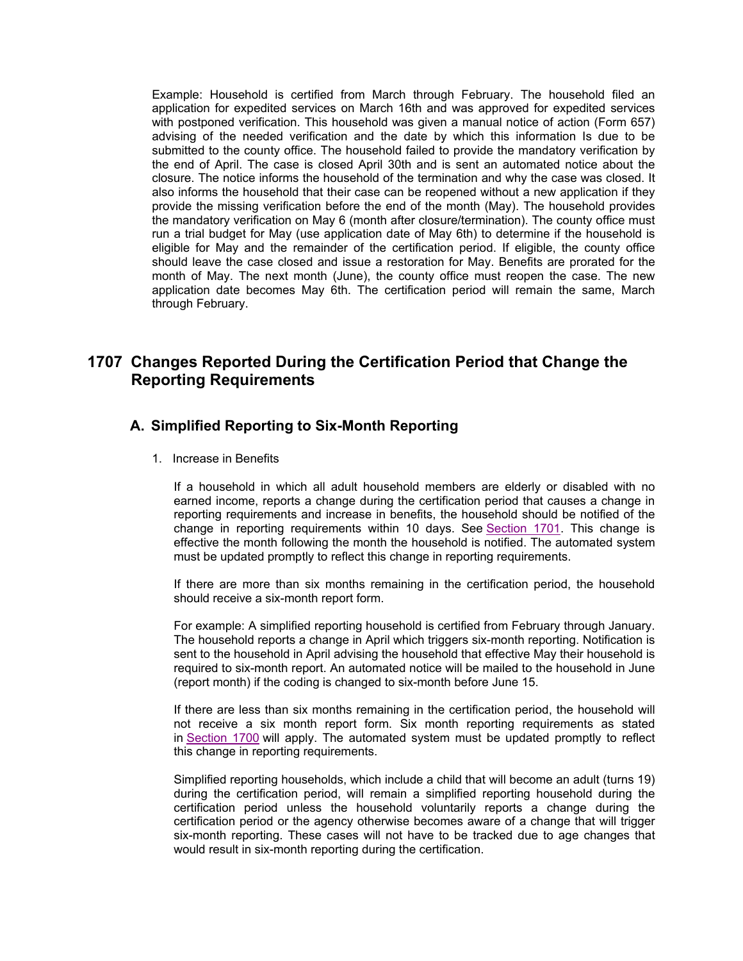Example: Household is certified from March through February. The household filed an application for expedited services on March 16th and was approved for expedited services with postponed verification. This household was given a manual notice of action (Form 657) advising of the needed verification and the date by which this information Is due to be submitted to the county office. The household failed to provide the mandatory verification by the end of April. The case is closed April 30th and is sent an automated notice about the closure. The notice informs the household of the termination and why the case was closed. It also informs the household that their case can be reopened without a new application if they provide the missing verification before the end of the month (May). The household provides the mandatory verification on May 6 (month after closure/termination). The county office must run a trial budget for May (use application date of May 6th) to determine if the household is eligible for May and the remainder of the certification period. If eligible, the county office should leave the case closed and issue a restoration for May. Benefits are prorated for the month of May. The next month (June), the county office must reopen the case. The new application date becomes May 6th. The certification period will remain the same, March through February.

# **1707 Changes Reported During the Certification Period that Change the Reporting Requirements**

### **A. Simplified Reporting to Six-Month Reporting**

1. Increase in Benefits

If a household in which all adult household members are elderly or disabled with no earned income, reports a change during the certification period that causes a change in reporting requirements and increase in benefits, the household should be notified of the change in reporting requirements within 10 days. See Section 1701. This change is effective the month following the month the household is notified. The automated system must be updated promptly to reflect this change in reporting requirements.

If there are more than six months remaining in the certification period, the household should receive a six-month report form.

For example: A simplified reporting household is certified from February through January. The household reports a change in April which triggers six-month reporting. Notification is sent to the household in April advising the household that effective May their household is required to six-month report. An automated notice will be mailed to the household in June (report month) if the coding is changed to six-month before June 15.

If there are less than six months remaining in the certification period, the household will not receive a six month report form. Six month reporting requirements as stated in Section 1700 will apply. The automated system must be updated promptly to reflect this change in reporting requirements.

Simplified reporting households, which include a child that will become an adult (turns 19) during the certification period, will remain a simplified reporting household during the certification period unless the household voluntarily reports a change during the certification period or the agency otherwise becomes aware of a change that will trigger six-month reporting. These cases will not have to be tracked due to age changes that would result in six-month reporting during the certification.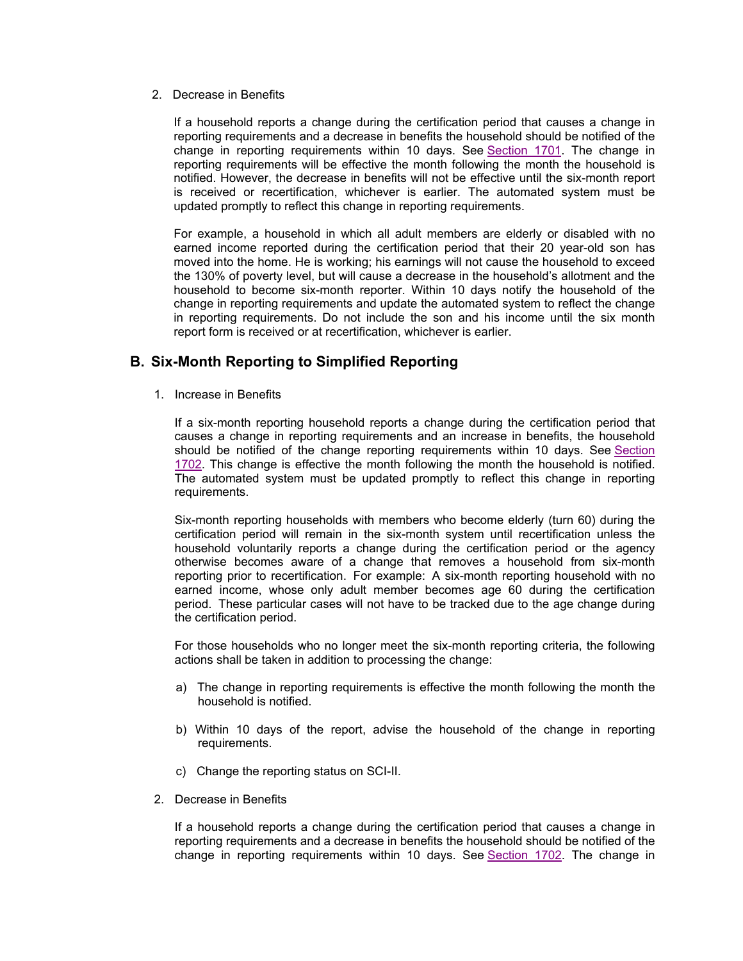2. Decrease in Benefits

If a household reports a change during the certification period that causes a change in reporting requirements and a decrease in benefits the household should be notified of the change in reporting requirements within 10 days. See Section 1701. The change in reporting requirements will be effective the month following the month the household is notified. However, the decrease in benefits will not be effective until the six-month report is received or recertification, whichever is earlier. The automated system must be updated promptly to reflect this change in reporting requirements.

For example, a household in which all adult members are elderly or disabled with no earned income reported during the certification period that their 20 year-old son has moved into the home. He is working; his earnings will not cause the household to exceed the 130% of poverty level, but will cause a decrease in the household's allotment and the household to become six-month reporter. Within 10 days notify the household of the change in reporting requirements and update the automated system to reflect the change in reporting requirements. Do not include the son and his income until the six month report form is received or at recertification, whichever is earlier.

### **B. Six-Month Reporting to Simplified Reporting**

1. Increase in Benefits

If a six-month reporting household reports a change during the certification period that causes a change in reporting requirements and an increase in benefits, the household should be notified of the change reporting requirements within 10 days. See Section 1702. This change is effective the month following the month the household is notified. The automated system must be updated promptly to reflect this change in reporting requirements.

Six-month reporting households with members who become elderly (turn 60) during the certification period will remain in the six-month system until recertification unless the household voluntarily reports a change during the certification period or the agency otherwise becomes aware of a change that removes a household from six-month reporting prior to recertification. For example: A six-month reporting household with no earned income, whose only adult member becomes age 60 during the certification period. These particular cases will not have to be tracked due to the age change during the certification period.

For those households who no longer meet the six-month reporting criteria, the following actions shall be taken in addition to processing the change:

- a) The change in reporting requirements is effective the month following the month the household is notified.
- b) Within 10 days of the report, advise the household of the change in reporting requirements.
- c) Change the reporting status on SCI-II.
- 2. Decrease in Benefits

If a household reports a change during the certification period that causes a change in reporting requirements and a decrease in benefits the household should be notified of the change in reporting requirements within 10 days. See Section 1702. The change in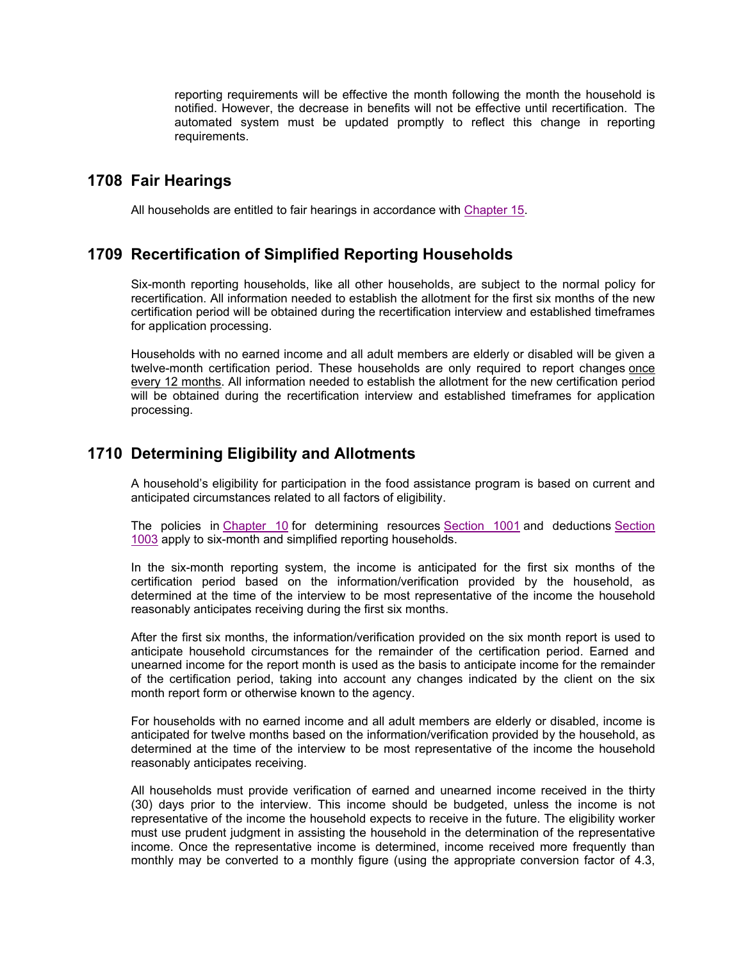reporting requirements will be effective the month following the month the household is notified. However, the decrease in benefits will not be effective until recertification. The automated system must be updated promptly to reflect this change in reporting requirements.

### **1708 Fair Hearings**

All households are entitled to fair hearings in accordance with Chapter 15.

### **1709 Recertification of Simplified Reporting Households**

Six-month reporting households, like all other households, are subject to the normal policy for recertification. All information needed to establish the allotment for the first six months of the new certification period will be obtained during the recertification interview and established timeframes for application processing.

Households with no earned income and all adult members are elderly or disabled will be given a twelve-month certification period. These households are only required to report changes once every 12 months. All information needed to establish the allotment for the new certification period will be obtained during the recertification interview and established timeframes for application processing.

## **1710 Determining Eligibility and Allotments**

A household's eligibility for participation in the food assistance program is based on current and anticipated circumstances related to all factors of eligibility.

The policies in Chapter 10 for determining resources Section 1001 and deductions Section 1003 apply to six-month and simplified reporting households.

In the six-month reporting system, the income is anticipated for the first six months of the certification period based on the information/verification provided by the household, as determined at the time of the interview to be most representative of the income the household reasonably anticipates receiving during the first six months.

After the first six months, the information/verification provided on the six month report is used to anticipate household circumstances for the remainder of the certification period. Earned and unearned income for the report month is used as the basis to anticipate income for the remainder of the certification period, taking into account any changes indicated by the client on the six month report form or otherwise known to the agency.

For households with no earned income and all adult members are elderly or disabled, income is anticipated for twelve months based on the information/verification provided by the household, as determined at the time of the interview to be most representative of the income the household reasonably anticipates receiving.

All households must provide verification of earned and unearned income received in the thirty (30) days prior to the interview. This income should be budgeted, unless the income is not representative of the income the household expects to receive in the future. The eligibility worker must use prudent judgment in assisting the household in the determination of the representative income. Once the representative income is determined, income received more frequently than monthly may be converted to a monthly figure (using the appropriate conversion factor of 4.3,